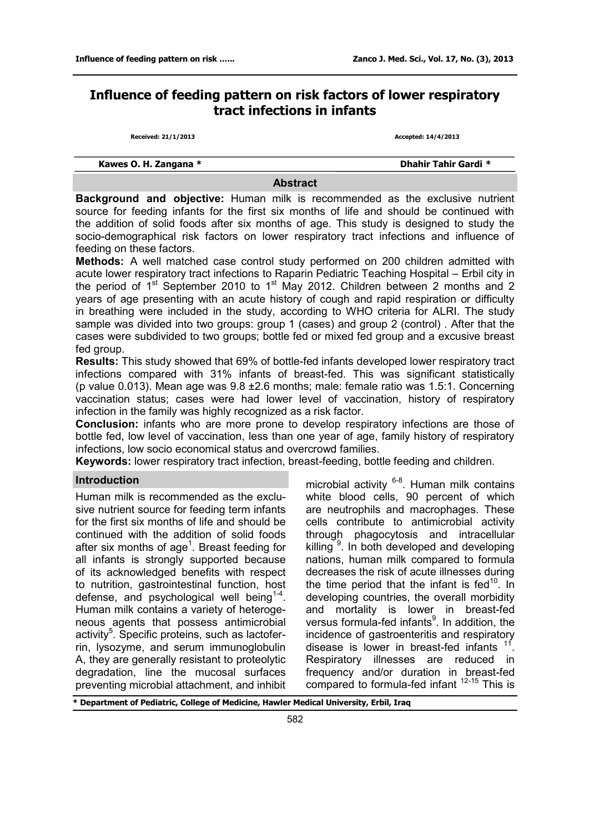# **Influence of feeding pattern on risk factors of lower respiratory tract infections in infants**

**Received: 21/1/2013 Accepted: 14/4/2013**

|  |  |  | Kawes O. H. Zangana * |  |
|--|--|--|-----------------------|--|
|--|--|--|-----------------------|--|

**Kawes O. H. Zangana \* Dhahir Tahir Gardi \*** 

### **Abstract**

**Background and objective:** Human milk is recommended as the exclusive nutrient source for feeding infants for the first six months of life and should be continued with the addition of solid foods after six months of age. This study is designed to study the socio-demographical risk factors on lower respiratory tract infections and influence of feeding on these factors.

**Methods:** A well matched case control study performed on 200 children admitted with acute lower respiratory tract infections to Raparin Pediatric Teaching Hospital – Erbil city in the period of  $1<sup>st</sup>$  September 2010 to  $1<sup>st</sup>$  May 2012. Children between 2 months and 2 years of age presenting with an acute history of cough and rapid respiration or difficulty in breathing were included in the study, according to WHO criteria for ALRI. The study sample was divided into two groups: group 1 (cases) and group 2 (control) . After that the cases were subdivided to two groups; bottle fed or mixed fed group and a excusive breast fed group.

**Results:** This study showed that 69% of bottle-fed infants developed lower respiratory tract infections compared with 31% infants of breast-fed. This was significant statistically (p value 0.013). Mean age was 9.8 ±2.6 months; male: female ratio was 1.5:1. Concerning vaccination status; cases were had lower level of vaccination, history of respiratory infection in the family was highly recognized as a risk factor.

**Conclusion:** infants who are more prone to develop respiratory infections are those of bottle fed, low level of vaccination, less than one year of age, family history of respiratory infections, low socio economical status and overcrowd families.

**Keywords:** lower respiratory tract infection, breast-feeding, bottle feeding and children.

### **Introduction**

Human milk is recommended as the exclusive nutrient source for feeding term infants for the first six months of life and should be continued with the addition of solid foods after six months of age<sup>1</sup>. Breast feeding for all infants is strongly supported because of its acknowledged benefits with respect to nutrition, gastrointestinal function, host defense, and psychological well being<sup>1-4</sup>[.](file:\\Users\kansrs\Desktop\uptodate%2019.3\UpToDate\contents\mobipreview.htm?6/37/6737/abstract/1-4) Human milk contains a variety of heterogeneous agents that possess antimicrobial activity<sup>5</sup>. Specific proteins, such as lactoferrin, lysozyme, and serum immunoglobulin A, they are generally resistant to proteolytic degradation, line the mucosal surfaces preventing microbial attachment, and inhibit

microbial activity <sup>6-8</sup>. Human milk contains white blood cells, 90 percent of which are neutrophils and macrophages. These cells contribute to antimicrobial activity through phagocytosis and intracellular killing<sup>9</sup>. In both developed and developing nations, human milk compared to formula decreases the risk of acute illnesses during the time period that the infant is  $fed^{10}$ . In developing countries, the overall morbidity and mortality is lower in breast-fed versus formula-fed infants<sup>9</sup>. In addition, the incidence of gastroenteritis and respiratory disease is lower in breast-fed infants  $11$ . Respiratory illnesses are reduced in frequency and/or duration in breast-fed compared to formula-fed infant <sup>12-15</sup> This is

**\* Department of Pediatric, College of Medicine, Hawler Medical University, Erbil, Iraq**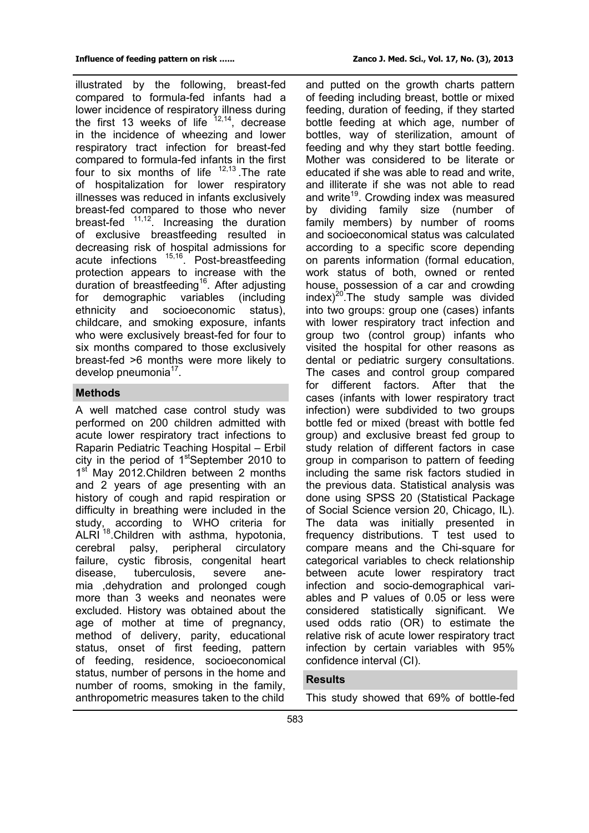illustrated by the following, breast-fed compared to formula-fed infants had a lower incidence of respiratory illness during the first 13 weeks of life  $12,14$ , decrease in the incidence of wheezing and lower respiratory tract infection for breast-fed compared to formula-fed infants in the first four to six months of life  $12,13$ . The rate of hospitalization for lower respiratory illnesses was reduced in infants exclusively breast-fed compared to those who never breast-fed 11,12. Increasing the duration of exclusive breastfeeding resulted in decreasing risk of hospital admissions for acute infections 15,16. Post-breastfeeding protection appears to increase with the duration of breastfeeding<sup>16</sup>. After adjusting for demographic variables (including ethnicity and socioeconomic status), childcare, and smoking exposure, infants who were exclusively breast-fed for four to

# six months compared to those exclusively breast-fed >6 months were more likely to develop pneumonia<sup>17</sup>.

### **Methods**

A well matched case control study was performed on 200 children admitted with acute lower respiratory tract infections to Raparin Pediatric Teaching Hospital – Erbil city in the period of 1<sup>st</sup>September 2010 to 1<sup>st</sup> May 2012. Children between 2 months and 2 years of age presenting with an history of cough and rapid respiration or difficulty in breathing were included in the study, according to WHO criteria for ALRI<sup>18</sup>.Children with asthma, hypotonia, cerebral palsy, peripheral circulatory failure, cystic fibrosis, congenital heart disease, tuberculosis, severe anemia ,dehydration and prolonged cough more than 3 weeks and neonates were excluded. History was obtained about the age of mother at time of pregnancy, method of delivery, parity, educational status, onset of first feeding, pattern of feeding, residence, socioeconomical status, number of persons in the home and number of rooms, smoking in the family, anthropometric measures taken to the child

and putted on the growth charts pattern of feeding including breast, bottle or mixed feeding, duration of feeding, if they started bottle feeding at which age, number of bottles, way of sterilization, amount of feeding and why they start bottle feeding. Mother was considered to be literate or educated if she was able to read and write, and illiterate if she was not able to read and write<sup>19</sup>. Crowding index was measured by dividing family size (number of family members) by number of rooms and socioeconomical status was calculated according to a specific score depending on parents information (formal education, work status of both, owned or rented house, possession of a car and crowding  $index)^{20}$ . The study sample was divided into two groups: group one (cases) infants with lower respiratory tract infection and group two (control group) infants who visited the hospital for other reasons as dental or pediatric surgery consultations. The cases and control group compared for different factors. After that the cases (infants with lower respiratory tract infection) were subdivided to two groups bottle fed or mixed (breast with bottle fed group) and exclusive breast fed group to study relation of different factors in case group in comparison to pattern of feeding including the same risk factors studied in the previous data. Statistical analysis was done using SPSS 20 (Statistical Package of Social Science version 20, Chicago, IL). The data was initially presented in frequency distributions. T test used to compare means and the Chi-square for categorical variables to check relationship between acute lower respiratory tract infection and socio-demographical variables and P values of 0.05 or less were considered statistically significant. We used odds ratio (OR) to estimate the relative risk of acute lower respiratory tract infection by certain variables with 95% confidence interval (CI).

## **Results**

This study showed that 69% of bottle-fed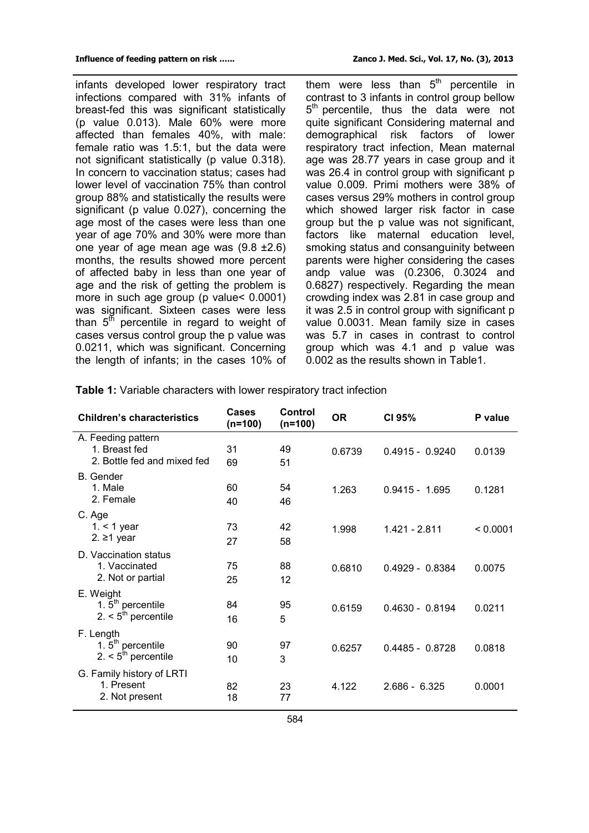infants developed lower respiratory tract infections compared with 31% infants of breast-fed this was significant statistically (p value 0.013). Male 60% were more affected than females 40%, with male: female ratio was 1.5:1, but the data were not significant statistically (p value 0.318). In concern to vaccination status; cases had lower level of vaccination 75% than control group 88% and statistically the results were significant (p value 0.027), concerning the age most of the cases were less than one year of age 70% and 30% were more than one year of age mean age was (9.8 ±2.6) months, the results showed more percent of affected baby in less than one year of age and the risk of getting the problem is more in such age group (p value< 0.0001) was significant. Sixteen cases were less than 5<sup>th</sup> percentile in regard to weight of cases versus control group the p value was 0.0211, which was significant. Concerning the length of infants; in the cases 10% of

them were less than 5<sup>th</sup> percentile in contrast to 3 infants in control group bellow 5<sup>th</sup> percentile, thus the data were not quite significant Considering maternal and demographical risk factors of lower respiratory tract infection, Mean maternal age was 28.77 years in case group and it was 26.4 in control group with significant p value 0.009. Primi mothers were 38% of cases versus 29% mothers in control group which showed larger risk factor in case group but the p value was not significant, factors like maternal education level, smoking status and consanguinity between parents were higher considering the cases andp value was (0.2306, 0.3024 and 0.6827) respectively. Regarding the mean crowding index was 2.81 in case group and it was 2.5 in control group with significant p value 0.0031. Mean family size in cases was 5.7 in cases in contrast to control group which was 4.1 and p value was 0.002 as the results shown in Table1.

| <b>Children's characteristics</b>                                  | <b>Cases</b><br>$(n=100)$ | Control<br>$(n=100)$ | <b>OR</b> | CI 95%            | P value  |
|--------------------------------------------------------------------|---------------------------|----------------------|-----------|-------------------|----------|
| A. Feeding pattern<br>1. Breast fed<br>2. Bottle fed and mixed fed | 31<br>69                  | 49<br>51             | 0.6739    | $0.4915 - 0.9240$ | 0.0139   |
| <b>B.</b> Gender                                                   |                           |                      |           |                   |          |
| 1. Male                                                            | 60                        | 54                   | 1.263     | $0.9415 - 1.695$  | 0.1281   |
| 2. Female                                                          | 40                        | 46                   |           |                   |          |
| C. Age                                                             |                           |                      |           |                   |          |
| $1. < 1$ year                                                      | 73                        | 42                   | 1.998     | 1.421 - 2.811     | < 0.0001 |
| 2. ≥1 year                                                         | 27                        | 58                   |           |                   |          |
| D. Vaccination status                                              |                           |                      |           |                   |          |
| 1. Vaccinated                                                      | 75                        | 88                   | 0.6810    | $0.4929 - 0.8384$ | 0.0075   |
| 2. Not or partial                                                  | 25                        | 12                   |           |                   |          |
| E. Weight                                                          |                           |                      |           |                   |          |
| 1. $5th$ percentile                                                | 84                        | 95                   | 0.6159    | $0.4630 - 0.8194$ | 0.0211   |
| 2. $5th$ percentile                                                | 16                        | 5                    |           |                   |          |
| F. Length                                                          |                           |                      |           |                   |          |
| 1. $5th$ percentile                                                | 90                        | 97                   | 0.6257    | $0.4485 - 0.8728$ | 0.0818   |
| 2. $5th$ percentile                                                | 10                        | 3                    |           |                   |          |
| G. Family history of LRTI                                          |                           |                      |           |                   |          |
| 1. Present                                                         | 82                        | 23                   | 4.122     | $2.686 - 6.325$   | 0.0001   |
| 2. Not present                                                     | 18                        | 77                   |           |                   |          |

**Table 1:** Variable characters with lower respiratory tract infection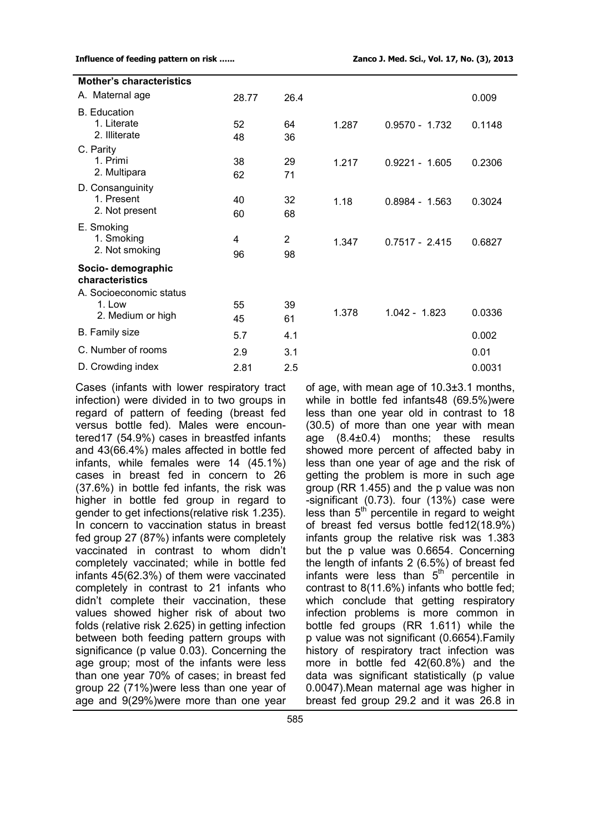| <b>Mother's characteristics</b>                                            |          |          |       |                  |        |
|----------------------------------------------------------------------------|----------|----------|-------|------------------|--------|
| A. Maternal age                                                            | 28.77    | 26.4     |       |                  | 0.009  |
| <b>B.</b> Education<br>1. Literate                                         | 52       | 64       | 1.287 | $0.9570 - 1.732$ | 0.1148 |
| 2. Illiterate<br>C. Parity                                                 | 48       | 36       |       |                  |        |
| 1. Primi<br>2. Multipara                                                   | 38<br>62 | 29<br>71 | 1.217 | $0.9221 - 1.605$ | 0.2306 |
| D. Consanguinity<br>1. Present<br>2. Not present                           | 40<br>60 | 32<br>68 | 1.18  | $0.8984 - 1.563$ | 0.3024 |
| E. Smoking<br>1. Smoking<br>2. Not smoking                                 | 4<br>96  | 2<br>98  | 1.347 | $0.7517 - 2.415$ | 0.6827 |
| Socio- demographic<br>characteristics<br>A. Socioeconomic status<br>1. Low | 55       | 39       |       |                  |        |
| 2. Medium or high                                                          | 45       | 61       | 1.378 | $1.042 - 1.823$  | 0.0336 |
| <b>B.</b> Family size                                                      | 5.7      | 4.1      |       |                  | 0.002  |
| C. Number of rooms                                                         | 2.9      | 3.1      |       |                  | 0.01   |
| D. Crowding index                                                          | 2.81     | 2.5      |       |                  | 0.0031 |
|                                                                            |          |          |       |                  |        |

Cases (infants with lower respiratory tract infection) were divided in to two groups in regard of pattern of feeding (breast fed versus bottle fed). Males were encountered17 (54.9%) cases in breastfed infants and 43(66.4%) males affected in bottle fed infants, while females were 14 (45.1%) cases in breast fed in concern to 26 (37.6%) in bottle fed infants, the risk was higher in bottle fed group in regard to gender to get infections(relative risk 1.235). In concern to vaccination status in breast fed group 27 (87%) infants were completely vaccinated in contrast to whom didn't completely vaccinated; while in bottle fed infants 45(62.3%) of them were vaccinated completely in contrast to 21 infants who didn't complete their vaccination, these values showed higher risk of about two folds (relative risk 2.625) in getting infection between both feeding pattern groups with significance (p value 0.03). Concerning the age group; most of the infants were less than one year 70% of cases; in breast fed group 22 (71%)were less than one year of age and 9(29%)were more than one year

of age, with mean age of 10.3±3.1 months, while in bottle fed infants48 (69.5%)were less than one year old in contrast to 18 (30.5) of more than one year with mean age (8.4±0.4) months; these results showed more percent of affected baby in less than one year of age and the risk of getting the problem is more in such age group (RR 1.455) and the p value was non -significant (0.73). four (13%) case were less than  $5<sup>th</sup>$  percentile in regard to weight of breast fed versus bottle fed12(18.9%) infants group the relative risk was 1.383 but the p value was 0.6654. Concerning the length of infants 2 (6.5%) of breast fed infants were less than  $5<sup>th</sup>$  percentile in contrast to 8(11.6%) infants who bottle fed; which conclude that getting respiratory infection problems is more common in bottle fed groups (RR 1.611) while the p value was not significant (0.6654).Family history of respiratory tract infection was more in bottle fed 42(60.8%) and the data was significant statistically (p value 0.0047).Mean maternal age was higher in breast fed group 29.2 and it was 26.8 in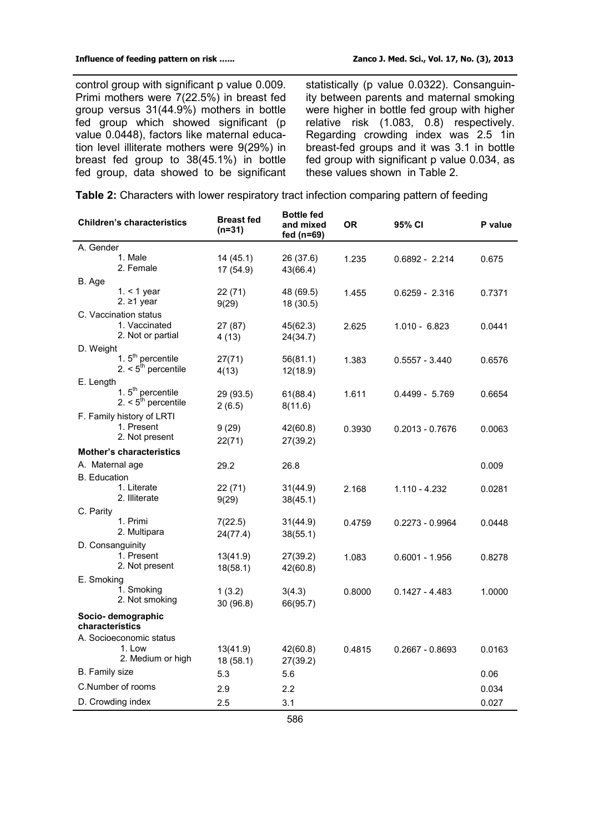control group with significant p value 0.009. Primi mothers were 7(22.5%) in breast fed group versus 31(44.9%) mothers in bottle fed group which showed significant (p value 0.0448), factors like maternal education level illiterate mothers were 9(29%) in breast fed group to 38(45.1%) in bottle fed group, data showed to be significant

statistically (p value 0.0322). Consanguinity between parents and maternal smoking were higher in bottle fed group with higher relative risk (1.083, 0.8) respectively. Regarding crowding index was 2.5 1in breast-fed groups and it was 3.1 in bottle fed group with significant p value 0.034, as these values shown in Table 2.

**Table 2:** Characters with lower respiratory tract infection comparing pattern of feeding

|                                 | <b>Children's characteristics</b>  | <b>Breast fed</b><br>$(n=31)$ | Bottle fed<br>and mixed<br>fed (n=69) | <b>OR</b> | 95% CI            | P value |  |
|---------------------------------|------------------------------------|-------------------------------|---------------------------------------|-----------|-------------------|---------|--|
| A. Gender                       |                                    |                               |                                       |           |                   |         |  |
|                                 | 1. Male                            | 14 (45.1)                     | 26 (37.6)                             | 1.235     | 0.6892 - 2.214    | 0.675   |  |
|                                 | 2. Female                          | 17 (54.9)                     | 43(66.4)                              |           |                   |         |  |
| B. Age                          |                                    |                               |                                       |           |                   |         |  |
|                                 | 1. $<$ 1 year                      | 22 (71)                       | 48 (69.5)                             | 1.455     | $0.6259 - 2.316$  | 0.7371  |  |
|                                 | 2. ≥1 year                         | 9(29)                         | 18 (30.5)                             |           |                   |         |  |
|                                 | C. Vaccination status              |                               |                                       |           |                   |         |  |
|                                 | 1. Vaccinated<br>2. Not or partial | 27 (87)                       | 45(62.3)                              | 2.625     | $1.010 - 6.823$   | 0.0441  |  |
| D. Weight                       |                                    | 4(13)                         | 24(34.7)                              |           |                   |         |  |
|                                 | 1. 5 <sup>th</sup> percentile      | 27(71)                        | 56(81.1)                              | 1.383     | $0.5557 - 3.440$  | 0.6576  |  |
|                                 | 2. $5^{\text{th}}$ percentile      | 4(13)                         | 12(18.9)                              |           |                   |         |  |
| E. Length                       |                                    |                               |                                       |           |                   |         |  |
|                                 | 1. 5 <sup>th</sup> percentile      | 29 (93.5)                     | 61(88.4)                              | 1.611     | $0.4499 - 5.769$  | 0.6654  |  |
|                                 | 2. $5th$ percentile                | 2(6.5)                        | 8(11.6)                               |           |                   |         |  |
|                                 | F. Family history of LRTI          |                               |                                       |           |                   |         |  |
|                                 | 1. Present                         | 9(29)                         | 42(60.8)                              | 0.3930    | $0.2013 - 0.7676$ | 0.0063  |  |
|                                 | 2. Not present                     | 22(71)                        | 27(39.2)                              |           |                   |         |  |
| <b>Mother's characteristics</b> |                                    |                               |                                       |           |                   |         |  |
| A. Maternal age                 |                                    | 29.2                          | 26.8                                  |           |                   | 0.009   |  |
| <b>B.</b> Education             |                                    |                               |                                       |           |                   |         |  |
|                                 | 1. Literate                        | 22 (71)                       | 31(44.9)                              | 2.168     | 1.110 - 4.232     | 0.0281  |  |
|                                 | 2. Illiterate                      | 9(29)                         | 38(45.1)                              |           |                   |         |  |
| C. Parity                       |                                    |                               |                                       |           |                   |         |  |
|                                 | 1. Primi                           | 7(22.5)                       | 31(44.9)                              | 0.4759    | $0.2273 - 0.9964$ | 0.0448  |  |
|                                 | 2. Multipara                       | 24(77.4)                      | 38(55.1)                              |           |                   |         |  |
| D. Consanguinity                |                                    |                               |                                       |           |                   |         |  |
|                                 | 1. Present                         | 13(41.9)                      | 27(39.2)                              | 1.083     | $0.6001 - 1.956$  | 0.8278  |  |
|                                 | 2. Not present                     | 18(58.1)                      | 42(60.8)                              |           |                   |         |  |
| E. Smoking                      |                                    |                               |                                       |           |                   |         |  |
|                                 | 1. Smoking                         | 1(3.2)                        | 3(4.3)                                | 0.8000    | $0.1427 - 4.483$  | 1.0000  |  |
|                                 | 2. Not smoking                     | 30 (96.8)                     | 66(95.7)                              |           |                   |         |  |
| characteristics                 | Socio-demographic                  |                               |                                       |           |                   |         |  |
|                                 | A. Socioeconomic status            |                               |                                       |           |                   |         |  |
|                                 | 1. Low                             | 13(41.9)                      | 42(60.8)                              | 0.4815    | $0.2667 - 0.8693$ | 0.0163  |  |
|                                 | 2. Medium or high                  | 18 (58.1)                     | 27(39.2)                              |           |                   |         |  |
| B. Family size                  |                                    | 5.3                           | 5.6                                   |           |                   | 0.06    |  |
|                                 | C.Number of rooms                  | 2.9                           | 2.2                                   |           |                   | 0.034   |  |
| D. Crowding index               |                                    | 2.5                           | 3.1                                   |           |                   | 0.027   |  |
|                                 |                                    |                               |                                       |           |                   |         |  |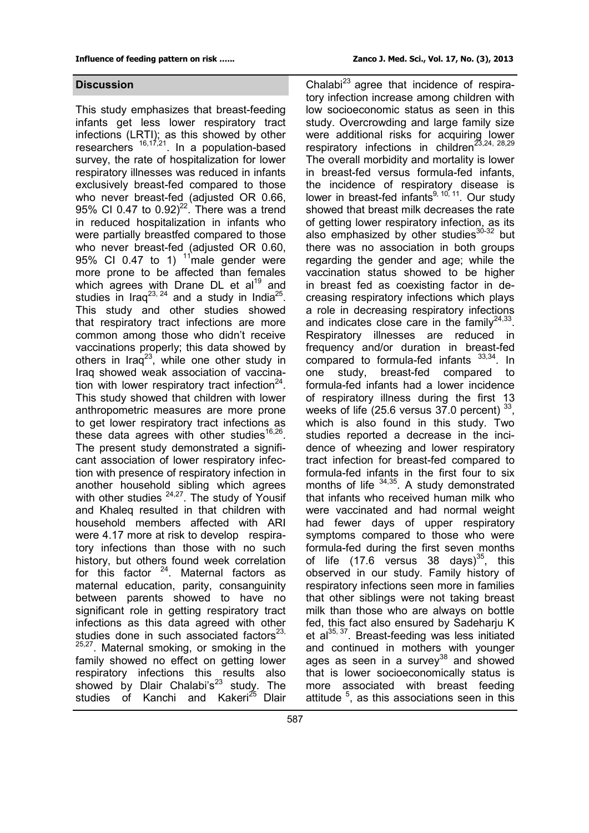### **Discussion**

This study emphasizes that breast-feeding infants get less lower respiratory tract infections (LRTI); as this showed by other researchers <sup>16,17,21</sup>. In a population-based survey, the rate of hospitalization for lower respiratory illnesses was reduced in infants exclusively breast-fed compared to those who never breast-fed (adjusted OR 0.66, 95% CI 0.47 to  $0.92)^{22}$ . There was a trend in reduced hospitalization in infants who were partially breastfed compared to those who never breast-fed (adjusted OR 0.60, 95% CI 0.47 to 1)  $<sup>11</sup>$  male gender were</sup> more prone to be affected than females which agrees with Drane DL et  $al<sup>19</sup>$  and studies in Iraq<sup>23, 24</sup> and a study in India<sup>25</sup>. This study and other studies showed that respiratory tract infections are more common among those who didn't receive vaccinations properly; this data showed by others in  $\text{I} \text{raq}^{23}$ , while one other study in Iraq showed weak association of vaccination with lower respiratory tract infection $24$ . This study showed that children with lower anthropometric measures are more prone to get lower respiratory tract infections as these data agrees with other studies $^{16,26}$ . The present study demonstrated a significant association of lower respiratory infection with presence of respiratory infection in another household sibling which agrees with other studies  $24,27$ . The study of Yousif and Khaleq resulted in that children with household members affected with ARI were 4.17 more at risk to develop respiratory infections than those with no such history, but others found week correlation for this factor  $24$ . Maternal factors as maternal education, parity, consanguinity between parents showed to have no significant role in getting respiratory tract infections as this data agreed with other studies done in such associated factors $23$ , <sup>25,27</sup>. Maternal smoking, or smoking in the family showed no effect on getting lower respiratory infections this results also showed by Dlair Chalabi's $^{23}$  study. The studies of Kanchi and Kakeri<sup>25</sup> Dlair

Chalabi<sup>23</sup> agree that incidence of respiratory infection increase among children with low socioeconomic status as seen in this study. Overcrowding and large family size were additional risks for acquiring lower respiratory infections in children<sup>23,24, 28,29</sup> The overall morbidity and mortality is lower in breast-fed versus formula-fed infants, the incidence of respiratory disease is lower in breast-fed infants<sup>9, 10, 11</sup>. Our study showed that breast milk decreases the rate of getting lower respiratory infection, as its also emphasized by other studies $30-32$  but there was no association in both groups regarding the gender and age; while the vaccination status showed to be higher in breast fed as coexisting factor in decreasing respiratory infections which plays a role in decreasing respiratory infections and indicates close care in the family $^{24,33}$ . Respiratory illnesses are reduced in frequency and/or duration in breast-fed compared to formula-fed infants  $33,34$ . In one study, breast-fed compared to formula-fed infants had a lower incidence of respiratory illness during the first 13 weeks of life (25.6 versus  $37.0$  percent)  $^{33}$ , which is also found in this study. Two studies reported a decrease in the incidence of wheezing and lower respiratory tract infection for breast-fed compared to formula-fed infants in the first four to six months of life  $34,35$ . A study demonstrated that infants who received human milk who were vaccinated and had normal weight had fewer days of upper respiratory symptoms compared to those who were formula-fed during the first seven months of life (17.6 versus 38 days) $^{35}$ , this observed in our study. Family history of respiratory infections seen more in families that other siblings were not taking breast milk than those who are always on bottle fed, this fact also ensured by Sadeharju K et al $^{35, 37}$ . Breast-feeding was less initiated and continued in mothers with younger ages as seen in a survey $38$  and showed that is lower socioeconomically status is more associated with breast feeding attitude<sup>5</sup>, as this associations seen in this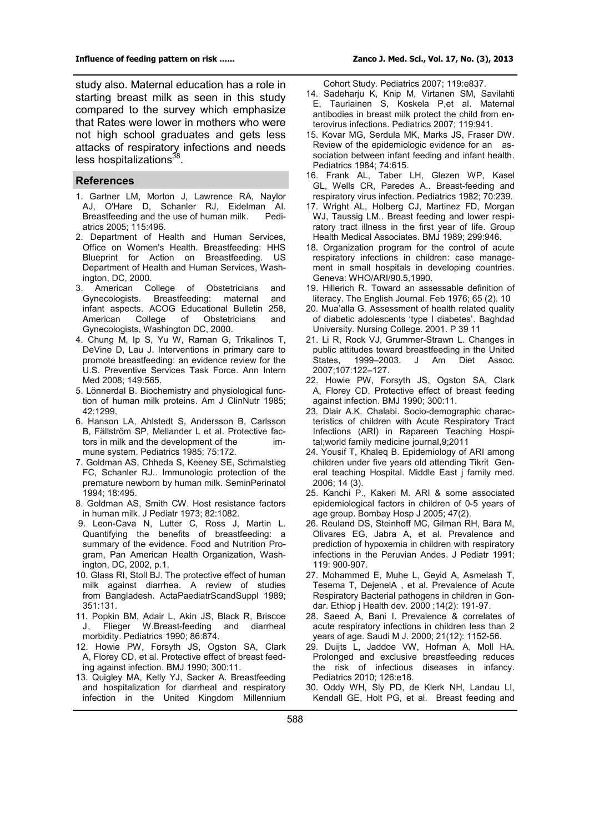study also. Maternal education has a role in starting breast milk as seen in this study compared to the survey which emphasize that Rates were lower in mothers who were not high school graduates and gets less attacks of respiratory infections and needs less hospitalizations<sup>38</sup>.

#### **References**

- 1. [Gartner LM,](http://www.ncbi.nlm.nih.gov/pubmed?term=Gartner%20LM%5BAuthor%5D&cauthor=true&cauthor_uid=15687461) Morton J, Lawrence RA, Naylor [AJ,](http://www.ncbi.nlm.nih.gov/pubmed?term=Naylor%20AJ%5BAuthor%5D&cauthor=true&cauthor_uid=15687461) [O'Hare D,](http://www.ncbi.nlm.nih.gov/pubmed?term=O) [Schanler RJ,](http://www.ncbi.nlm.nih.gov/pubmed?term=Schanler%20RJ%5BAuthor%5D&cauthor=true&cauthor_uid=15687461) [Eidelman AI.](http://www.ncbi.nlm.nih.gov/pubmed?term=Eidelman%20AI%5BAuthor%5D&cauthor=true&cauthor_uid=15687461) Breastfeeding and the use of human milk. [atrics 2005; 115:496.](file:///C:\Users\kansrs\Desktop\uptodate%2019.3\UpToDate\contents\mobipreview.htm)
- 2. Department of Health and Human Services, Office on Women's Health. Breastfeeding: HHS Blueprint for Action on Breastfeeding. US Department of Health and Human Services, Washington, DC, 2000.
- . American College of Obstetricians and<br>Gynecologists. Breastfeeding: maternal and Breastfeeding: maternal and infant aspects. ACOG Educational Bulletin 258, American College of Obstetricians and Gynecologists, Washington DC, 2000.
- 4. Chung M, Ip S, Yu W, Raman G, Trikalinos T, DeVine D, Lau J[. Interventions in primary care to](file:///C:\Users\kansrs\Desktop\uptodate%2019.3\UpToDate\contents\mobipreview.htm)  [promote breastfeeding: an evidence review for the](file:///C:\Users\kansrs\Desktop\uptodate%2019.3\UpToDate\contents\mobipreview.htm)  [U.S. Preventive Services Task Force. Ann Intern](file:///C:\Users\kansrs\Desktop\uptodate%2019.3\UpToDate\contents\mobipreview.htm)  [Med 2008; 149:565.](file:///C:\Users\kansrs\Desktop\uptodate%2019.3\UpToDate\contents\mobipreview.htm)
- 5. [Lönnerdal B. Biochemistry and physiological func](file:///C:\Users\kansrs\Desktop\uptodate%2019.3\UpToDate\contents\mobipreview.htm)[tion of human milk proteins. Am J ClinNutr 1985;](file:///C:\Users\kansrs\Desktop\uptodate%2019.3\UpToDate\contents\mobipreview.htm)  [42:1299.](file:///C:\Users\kansrs\Desktop\uptodate%2019.3\UpToDate\contents\mobipreview.htm)
- 6. [Hanson LA,](http://www.ncbi.nlm.nih.gov/pubmed?term=Hanson%20LA%5BAuthor%5D&cauthor=true&cauthor_uid=3880886) Ahlstedt S, Andersson B, Carlsson [B,](http://www.ncbi.nlm.nih.gov/pubmed?term=Carlsson%20B%5BAuthor%5D&cauthor=true&cauthor_uid=3880886) [Fällström SP,](http://www.ncbi.nlm.nih.gov/pubmed?term=F%C3%A4llstr%C3%B6m%20SP%5BAuthor%5D&cauthor=true&cauthor_uid=3880886) [Mellander L](http://www.ncbi.nlm.nih.gov/pubmed?term=Mellander%20L%5BAuthor%5D&cauthor=true&cauthor_uid=3880886) [et al. Protective fac](file:///C:\Users\kansrs\Desktop\uptodate%2019.3\UpToDate\contents\mobipreview.htm)[tors in milk and the development of the im](file:///C:\Users\kansrs\Desktop\uptodate%2019.3\UpToDate\contents\mobipreview.htm)[mune system. Pediatrics 1985; 75:172.](file:///C:\Users\kansrs\Desktop\uptodate%2019.3\UpToDate\contents\mobipreview.htm)
- 7. [Goldman AS,](file:///C:\Users\kansrs\Desktop\uptodate%2019.3\UpToDate\contents\mobipreview.htm) Chheda S, Keeney SE, Schmalstieg FC, [Schanler RJ.. Immunologic protection of the](file:///C:\Users\kansrs\Desktop\uptodate%2019.3\UpToDate\contents\mobipreview.htm)  [premature newborn by human milk. SeminPerinatol](file:///C:\Users\kansrs\Desktop\uptodate%2019.3\UpToDate\contents\mobipreview.htm)  [1994; 18:495.](file:///C:\Users\kansrs\Desktop\uptodate%2019.3\UpToDate\contents\mobipreview.htm)
- 8. [Goldman AS, Smith CW. Host resistance factors](file:///C:\Users\kansrs\Desktop\uptodate%2019.3\UpToDate\contents\mobipreview.htm)  [in human milk. J Pediatr 1973; 82:1082.](file:///C:\Users\kansrs\Desktop\uptodate%2019.3\UpToDate\contents\mobipreview.htm)
- 9. Leon-Cava N, Lutter C, Ross J, Martin L. Quantifying the benefits of breastfeeding: a summary of the evidence. Food and Nutrition Program, Pan American Health Organization, Washington, DC, 2002, p.1.
- 10. [Glass RI, Stoll BJ. The protective effect of human](file:///C:\Users\kansrs\Desktop\uptodate%2019.3\UpToDate\contents\mobipreview.htm)  [milk against diarrhea. A review of studies](file:///C:\Users\kansrs\Desktop\uptodate%2019.3\UpToDate\contents\mobipreview.htm)  [from Bangladesh. ActaPaediatrScandSuppl 1989;](file:///C:\Users\kansrs\Desktop\uptodate%2019.3\UpToDate\contents\mobipreview.htm)  [351:131.](file:///C:\Users\kansrs\Desktop\uptodate%2019.3\UpToDate\contents\mobipreview.htm)
- 11. [Popkin BM,](file:///C:\Users\kansrs\Desktop\uptodate%2019.3\UpToDate\contents\mobipreview.htm) Adair L, Akin JS, Black R, Briscoe J, Flieger W.Breast-[feeding and diarrheal](file:///C:\Users\kansrs\Desktop\uptodate%2019.3\UpToDate\contents\mobipreview.htm)  [morbidity. Pediatrics 1990; 86:874.](file:///C:\Users\kansrs\Desktop\uptodate%2019.3\UpToDate\contents\mobipreview.htm)
- 12. [Howie PW, Forsyth JS, Ogston SA, Clark](file:///C:\Users\kansrs\Desktop\uptodate%2019.3\UpToDate\contents\mobipreview.htm)  A, [Florey CD, et al. Protective effect of breast feed](file:///C:\Users\kansrs\Desktop\uptodate%2019.3\UpToDate\contents\mobipreview.htm)[ing against infection. BMJ 1990; 300:11.](file:///C:\Users\kansrs\Desktop\uptodate%2019.3\UpToDate\contents\mobipreview.htm)
- 13. [Quigley MA, Kelly YJ, Sacker A. Breastfeeding](file:///C:\Users\kansrs\Desktop\uptodate%2019.3\UpToDate\contents\mobipreview.htm)  [and hospitalization for diarrheal and respiratory](file:///C:\Users\kansrs\Desktop\uptodate%2019.3\UpToDate\contents\mobipreview.htm)  [infection in the United Kingdom Millennium](file:///C:\Users\kansrs\Desktop\uptodate%2019.3\UpToDate\contents\mobipreview.htm)

Cohort Study. Pediatrics 2007; 119:e837.

- 14. [Sadeharju K,](file:///C:\Users\kansrs\Desktop\uptodate%2019.3\UpToDate\contents\mobipreview.htm) Knip M, Virtanen SM, Savilahti E, Tauriainen S, [Koskela P,et al. Maternal](file:///C:\Users\kansrs\Desktop\uptodate%2019.3\UpToDate\contents\mobipreview.htm)  [antibodies in breast milk protect the child from en](file:///C:\Users\kansrs\Desktop\uptodate%2019.3\UpToDate\contents\mobipreview.htm)[terovirus infections. Pediatrics 2007; 119:941.](file:///C:\Users\kansrs\Desktop\uptodate%2019.3\UpToDate\contents\mobipreview.htm)
- 15. [Kovar MG, Serdula MK, Marks JS, Fraser DW.](file:///C:\Users\kansrs\Desktop\uptodate%2019.3\UpToDate\contents\mobipreview.htm)  [Review of the epidemiologic evidence for an as](file:///C:\Users\kansrs\Desktop\uptodate%2019.3\UpToDate\contents\mobipreview.htm)[sociation between infant feeding and infant health.](file:///C:\Users\kansrs\Desktop\uptodate%2019.3\UpToDate\contents\mobipreview.htm)  [Pediatrics 1984; 74:615.](file:///C:\Users\kansrs\Desktop\uptodate%2019.3\UpToDate\contents\mobipreview.htm)
- 16. Frank AL, Taber LH, [Glezen WP,](file:///C:\Users\kansrs\Desktop\uptodate%2019.3\UpToDate\contents\mobipreview.htm) Kasel GL, Wells CR, [Paredes A.. Breast](file:///C:\Users\kansrs\Desktop\uptodate%2019.3\UpToDate\contents\mobipreview.htm)-feeding and [respiratory virus infection. Pediatrics 1982; 70:239.](file:///C:\Users\kansrs\Desktop\uptodate%2019.3\UpToDate\contents\mobipreview.htm)
- [17](file:///C:\Users\kansrs\Desktop\uptodate%2019.3\UpToDate\contents\mobipreview.htm). [Wright AL,](http://www.ncbi.nlm.nih.gov/pubmed?term=Wright%20AL%5BAuthor%5D&cauthor=true&cauthor_uid=2508946) Holberg CJ, Martinez FD, Morgan [WJ,](http://www.ncbi.nlm.nih.gov/pubmed?term=Morgan%20WJ%5BAuthor%5D&cauthor=true&cauthor_uid=2508946) [Taussig LM.](http://www.ncbi.nlm.nih.gov/pubmed?term=Taussig%20LM%5BAuthor%5D&cauthor=true&cauthor_uid=2508946)[. Breast feeding and lower respi](file:///C:\Users\kansrs\Desktop\uptodate%2019.3\UpToDate\contents\mobipreview.htm)[ratory tract illness in the first year of life. Group](file:///C:\Users\kansrs\Desktop\uptodate%2019.3\UpToDate\contents\mobipreview.htm)  [Health Medical Associates. BMJ 1989; 299:946.](file:///C:\Users\kansrs\Desktop\uptodate%2019.3\UpToDate\contents\mobipreview.htm)
- 18. Organization program for the control of acute respiratory infections in children: case management in small hospitals in developing countries. Geneva: WHO/ARI/90.5,1990.
- 19. Hillerich R. Toward an assessable definition of literacy. The English Journal. Feb 1976; 65 (2). 10
- 20. Mua'alla G. Assessment of health related quality of diabetic adolescents 'type I diabetes'. Baghdad University. Nursing College. 2001. P 39 11
- 21. Li R, Rock VJ, Grummer-Strawn L. Changes in public attitudes toward breastfeeding in the United States, 1999–2003. J Am Diet Assoc. 2007;107:122–127[.](file:///C:\Users\kansrs\Desktop\uptodate%2019.3\UpToDate\contents\mobipreview.htm)
- 22. [Howie PW, Forsyth JS, Ogston SA, Clark](file:///C:\Users\kansrs\Desktop\uptodate%2019.3\UpToDate\contents\mobipreview.htm)  A, [Florey CD. Protective effect of breast feeding](file:///C:\Users\kansrs\Desktop\uptodate%2019.3\UpToDate\contents\mobipreview.htm)  [against infection. BMJ 1990; 300:11.](file:///C:\Users\kansrs\Desktop\uptodate%2019.3\UpToDate\contents\mobipreview.htm)
- 23. Dlair A.K. Chalabi. Socio-demographic characteristics of children with Acute Respiratory Tract Infections (ARI) in Rapareen Teaching Hospital;world family medicine journal,9;2011
- 24. Yousif T, Khaleq B. Epidemiology of ARI among children under five years old attending Tikrit General teaching Hospital. Middle East j family med. 2006; 14 (3).
- 25. Kanchi P., Kakeri M. ARI & some associated epidemiological factors in children of 0-5 years of age group. Bombay Hosp J 2005; 47(2).
- 26. [Reuland DS,](http://www.ncbi.nlm.nih.gov/pubmed?term=Reuland%20DS%5BAuthor%5D&cauthor=true&cauthor_uid=1960604) [Steinhoff MC,](http://www.ncbi.nlm.nih.gov/pubmed?term=Steinhoff%20MC%5BAuthor%5D&cauthor=true&cauthor_uid=1960604) [Gilman RH,](http://www.ncbi.nlm.nih.gov/pubmed?term=Gilman%20RH%5BAuthor%5D&cauthor=true&cauthor_uid=1960604) [Bara M,](http://www.ncbi.nlm.nih.gov/pubmed?term=Bara%20M%5BAuthor%5D&cauthor=true&cauthor_uid=1960604) [Olivares EG,](http://www.ncbi.nlm.nih.gov/pubmed?term=Olivares%20EG%5BAuthor%5D&cauthor=true&cauthor_uid=1960604) [Jabra A,](http://www.ncbi.nlm.nih.gov/pubmed?term=Jabra%20A%5BAuthor%5D&cauthor=true&cauthor_uid=1960604) et al. Prevalence and prediction of hypoxemia in children with respiratory infections in the Peruvian Andes. J Pediatr 1991; 119: 900-907.
- 27. Mohammed E, Muhe L, Geyid A, Asmelash T, Tesema T, DejenelA , et al. Prevalence of Acute Respiratory Bacterial pathogens in children in Gondar. Ethiop j Health dev. 2000 ;14(2): 191-97.
- 28. Saeed A, Bani I. Prevalence & correlates of acute respiratory infections in children less than 2 years of age. Saudi M J. 2000; 21(12): 1152-56.
- 29. [Duijts L, Jaddoe VW, Hofman A, Moll HA.](file:///C:\Users\kansrs\Desktop\uptodate%2019.3\UpToDate\contents\mobipreview.htm)  [Prolonged and exclusive breastfeeding reduces](file:///C:\Users\kansrs\Desktop\uptodate%2019.3\UpToDate\contents\mobipreview.htm)  [the risk of infectious diseases in infancy.](file:///C:\Users\kansrs\Desktop\uptodate%2019.3\UpToDate\contents\mobipreview.htm)  [Pediatrics 2010; 126:e18.](file:///C:\Users\kansrs\Desktop\uptodate%2019.3\UpToDate\contents\mobipreview.htm)
- 30. [Oddy WH,](http://www.ncbi.nlm.nih.gov/pubmed?term=Oddy%20WH%5BAuthor%5D&cauthor=true&cauthor_uid=12598384) [Sly PD,](http://www.ncbi.nlm.nih.gov/pubmed?term=Sly%20PD%5BAuthor%5D&cauthor=true&cauthor_uid=12598384) [de Klerk NH,](http://www.ncbi.nlm.nih.gov/pubmed?term=de%20Klerk%20NH%5BAuthor%5D&cauthor=true&cauthor_uid=12598384) [Landau LI,](http://www.ncbi.nlm.nih.gov/pubmed?term=Landau%20LI%5BAuthor%5D&cauthor=true&cauthor_uid=12598384) [Kendall GE,](http://www.ncbi.nlm.nih.gov/pubmed?term=Kendall%20GE%5BAuthor%5D&cauthor=true&cauthor_uid=12598384) [Holt PG,](http://www.ncbi.nlm.nih.gov/pubmed?term=Holt%20PG%5BAuthor%5D&cauthor=true&cauthor_uid=12598384) et al. Breast feeding and